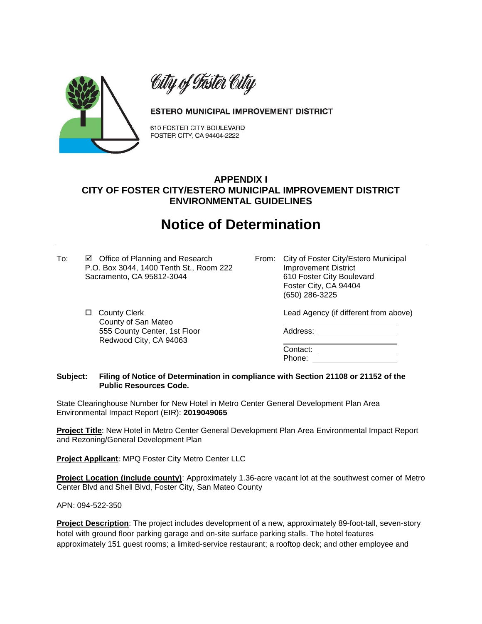

City of Taster City

## ESTERO MUNICIPAL IMPROVEMENT DISTRICT

610 FOSTER CITY BOULEVARD FOSTER CITY, CA 94404-2222

## **APPENDIX I CITY OF FOSTER CITY/ESTERO MUNICIPAL IMPROVEMENT DISTRICT ENVIRONMENTAL GUIDELINES**

## **Notice of Determination**

- To: **Ø** Office of Planning and Research From: City of Foster City/Estero Municipal P.O. Box 3044, 1400 Tenth St., Room 222 Improvement District Sacramento, CA 95812-3044 610 Foster City Boulevard
	- County of San Mateo 555 County Center, 1st Floor **Address:** Address: Redwood City, CA 94063

Foster City, CA 94404 (650) 286-3225

County Clerk Lead Agency (if different from above)

Contact: Phone:

## **Subject: Filing of Notice of Determination in compliance with Section 21108 or 21152 of the Public Resources Code.**

State Clearinghouse Number for New Hotel in Metro Center General Development Plan Area Environmental Impact Report (EIR): **2019049065**

**Project Title**: New Hotel in Metro Center General Development Plan Area Environmental Impact Report and Rezoning/General Development Plan

**Project Applicant**: MPQ Foster City Metro Center LLC

**Project Location (include county)**: Approximately 1.36-acre vacant lot at the southwest corner of Metro Center Blvd and Shell Blvd, Foster City, San Mateo County

APN: 094-522-350

**Project Description**: The project includes development of a new, approximately 89-foot-tall, seven-story hotel with ground floor parking garage and on-site surface parking stalls. The hotel features approximately 151 guest rooms; a limited-service restaurant; a rooftop deck; and other employee and